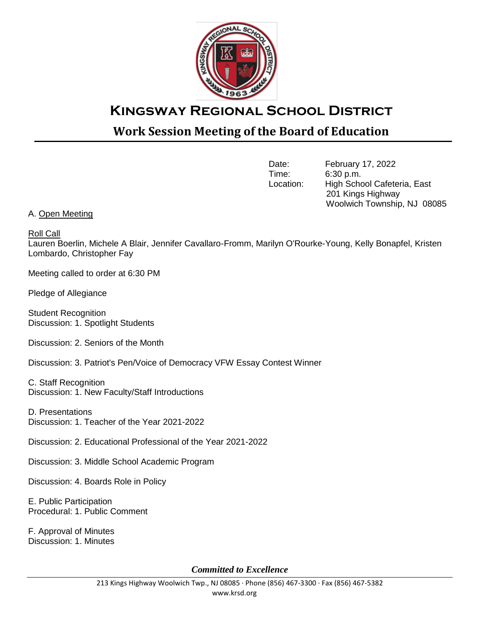

## **Kingsway Regional School District**

## **Work Session Meeting of the Board of Education**

Date: February 17, 2022<br>Time: 6:30 p.m. 6:30 p.m. Location: High School Cafeteria, East 201 Kings Highway Woolwich Township, NJ 08085

## A. Open Meeting

Roll Call

Lauren Boerlin, Michele A Blair, Jennifer Cavallaro-Fromm, Marilyn O'Rourke-Young, Kelly Bonapfel, Kristen Lombardo, Christopher Fay

Meeting called to order at 6:30 PM

Pledge of Allegiance

Student Recognition Discussion: 1. Spotlight Students

Discussion: 2. Seniors of the Month

Discussion: 3. Patriot's Pen/Voice of Democracy VFW Essay Contest Winner

C. Staff Recognition Discussion: 1. New Faculty/Staff Introductions

D. Presentations Discussion: 1. Teacher of the Year 2021-2022

Discussion: 2. Educational Professional of the Year 2021-2022

Discussion: 3. Middle School Academic Program

Discussion: 4. Boards Role in Policy

E. Public Participation Procedural: 1. Public Comment

F. Approval of Minutes Discussion: 1. Minutes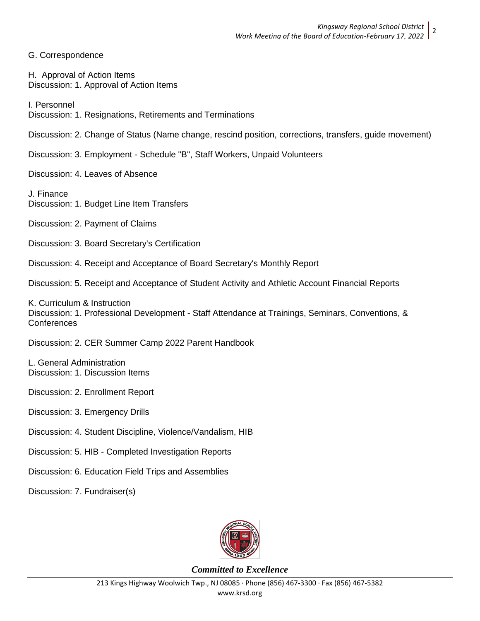G. Correspondence

H. Approval of Action Items Discussion: 1. Approval of Action Items

I. Personnel

Discussion: 1. Resignations, Retirements and Terminations

Discussion: 2. Change of Status (Name change, rescind position, corrections, transfers, guide movement)

Discussion: 3. Employment - Schedule "B", Staff Workers, Unpaid Volunteers

Discussion: 4. Leaves of Absence

J. Finance Discussion: 1. Budget Line Item Transfers

Discussion: 2. Payment of Claims

Discussion: 3. Board Secretary's Certification

Discussion: 4. Receipt and Acceptance of Board Secretary's Monthly Report

Discussion: 5. Receipt and Acceptance of Student Activity and Athletic Account Financial Reports

K. Curriculum & Instruction Discussion: 1. Professional Development - Staff Attendance at Trainings, Seminars, Conventions, & **Conferences** 

Discussion: 2. CER Summer Camp 2022 Parent Handbook

L. General Administration Discussion: 1. Discussion Items

Discussion: 2. Enrollment Report

Discussion: 3. Emergency Drills

Discussion: 4. Student Discipline, Violence/Vandalism, HIB

Discussion: 5. HIB - Completed Investigation Reports

Discussion: 6. Education Field Trips and Assemblies

Discussion: 7. Fundraiser(s)

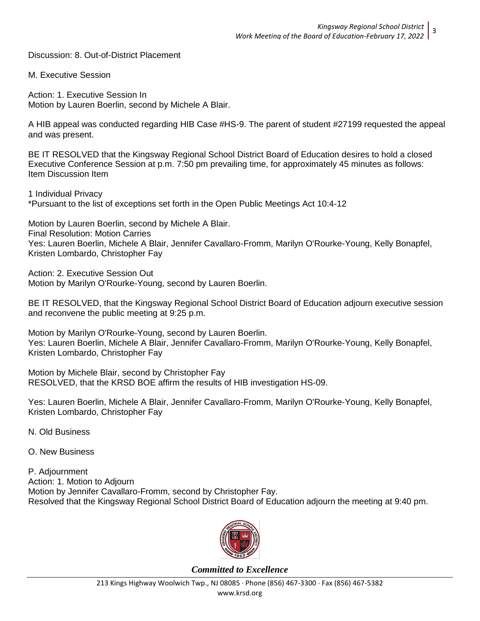Discussion: 8. Out-of-District Placement

M. Executive Session

Action: 1. Executive Session In Motion by Lauren Boerlin, second by Michele A Blair.

A HIB appeal was conducted regarding HIB Case #HS-9. The parent of student #27199 requested the appeal and was present.

BE IT RESOLVED that the Kingsway Regional School District Board of Education desires to hold a closed Executive Conference Session at p.m. 7:50 pm prevailing time, for approximately 45 minutes as follows: Item Discussion Item

1 Individual Privacy \*Pursuant to the list of exceptions set forth in the Open Public Meetings Act 10:4-12

Motion by Lauren Boerlin, second by Michele A Blair. Final Resolution: Motion Carries Yes: Lauren Boerlin, Michele A Blair, Jennifer Cavallaro-Fromm, Marilyn O'Rourke-Young, Kelly Bonapfel, Kristen Lombardo, Christopher Fay

Action: 2. Executive Session Out Motion by Marilyn O'Rourke-Young, second by Lauren Boerlin.

BE IT RESOLVED, that the Kingsway Regional School District Board of Education adjourn executive session and reconvene the public meeting at 9:25 p.m.

Motion by Marilyn O'Rourke-Young, second by Lauren Boerlin. Yes: Lauren Boerlin, Michele A Blair, Jennifer Cavallaro-Fromm, Marilyn O'Rourke-Young, Kelly Bonapfel, Kristen Lombardo, Christopher Fay

Motion by Michele Blair, second by Christopher Fay RESOLVED, that the KRSD BOE affirm the results of HIB investigation HS-09.

Yes: Lauren Boerlin, Michele A Blair, Jennifer Cavallaro-Fromm, Marilyn O'Rourke-Young, Kelly Bonapfel, Kristen Lombardo, Christopher Fay

N. Old Business

O. New Business

P. Adjournment Action: 1. Motion to Adjourn Motion by Jennifer Cavallaro-Fromm, second by Christopher Fay. Resolved that the Kingsway Regional School District Board of Education adjourn the meeting at 9:40 pm.